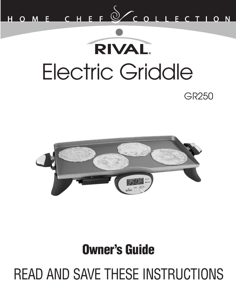

# **RIVAL** Electric GriddleGR<sub>250</sub>



### **Owner's Guide**

READ AND SAVE THESE INSTRUCTIONS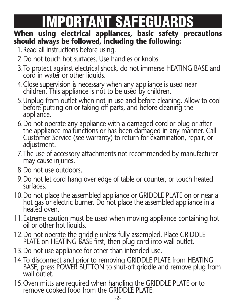### **IMPORTANT SAFEGUARDS**

#### **When using electrical appliances, basic safety precautions should always be followed, including the following:**

- 1.Read all instructions before using.
- 2.Do not touch hot surfaces. Use handles or knobs.
- 3.To protect against electrical shock, do not immerse HEATING BASE and cord in water or other liquids.
- 4.Close supervision is necessary when any appliance is used near children. This appliance is not to be used by children.
- 5.Unplug from outlet when not in use and before cleaning. Allow to cool before putting on or taking off parts, and before cleaning the appliance.
- 6.Do not operate any appliance with a damaged cord or plug or after the appliance malfunctions or has been damaged in any manner. Call Customer Service (see warranty) to return for examination, repair, or adjustment.
- 7.The use of accessory attachments not recommended by manufacturer may cause injuries.
- 8.Do not use outdoors.
- 9.Do not let cord hang over edge of table or counter, or touch heated surfaces.
- 10.Do not place the assembled appliance or GRIDDLE PLATE on or near a hot gas or electric burner. Do not place the assembled appliance in a heated oven.
- 11.Extreme caution must be used when moving appliance containing hot oil or other hot liquids.
- 12.Do not operate the griddle unless fully assembled. Place GRIDDLE PLATE on HEATING BASE first, then plug cord into wall outlet.
- 13.Do not use appliance for other than intended use.
- 14.To disconnect and prior to removing GRIDDLE PLATE from HEATING BASE, press POWER BUTTON to shut-off griddle and remove plug from wall outlet.
- 15.Oven mitts are required when handling the GRIDDLE PLATE or to remove cooked food from the GRIDDLE PLATE.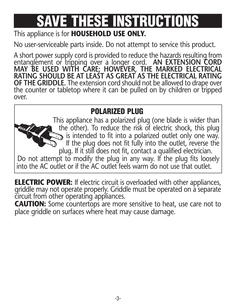## **SAVE THESE INSTRUCTIONS**

#### This appliance is for **HOUSEHOLD USE ONLY.**

No user-serviceable parts inside. Do not attempt to service this product.

A short power supply cord is provided to reduce the hazards resulting from entanglement or tripping over a longer cord. **AN EXTENSION CORD MAY BE USED WITH CARE; HOWEVER, THE MARKED ELECTRICAL RATING SHOULD BE AT LEAST AS GREAT AS THE ELECTRICAL RATING OF THE GRIDDLE.** The extension cord should not be allowed to drape over the counter or tabletop where it can be pulled on by children or tripped over.

#### **POLARIZED PLUG**

This appliance has a polarized plug (one blade is wider than the other). To reduce the risk of electric shock, this plug is intended to fit into a polarized outlet only one way. If the plug does not fit fully into the outlet, reverse the plug. If it still does not fit, contact a qualified electrician. Do not attempt to modify the plug in any way. If the plug fits loosely into the AC outlet or if the AC outlet feels warm do not use that outlet.

**ELECTRIC POWER:** If electric circuit is overloaded with other appliances, griddle may not operate properly. Griddle must be operated on a separate circuit from other operating appliances.

**CAUTION:** Some countertops are more sensitive to heat, use care not to place griddle on surfaces where heat may cause damage.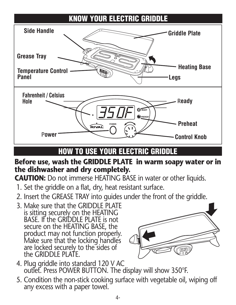#### **KNOW YOUR ELECTRIC GRIDDLE**



#### **HOW TO USE YOUR ELECTRIC GRIDDLE**

#### **Before use, wash the GRIDDLE PLATE in warm soapy water or in the dishwasher and dry completely.**

**CAUTION:** Do not immerse HEATING BASE in water or other liquids.

- 1. Set the griddle on a flat, dry, heat resistant surface.
- 2. Insert the GREASE TRAY into guides under the front of the griddle.
- 3. Make sure that the GRIDDLE PLATE is sitting securely on the HEATING BASE. If the GRIDDLE PLATE is not secure on the HEATING BASE, the product may not function properly. Make sure that the locking handles are locked securely to the sides of the GRIDDLE PLATE.



- 4. Plug griddle into standard 120 V AC outlet. Press POWER BUTTON. The display will show 350°F.
- 5. Condition the non-stick cooking surface with vegetable oil, wiping off any excess with a paper towel.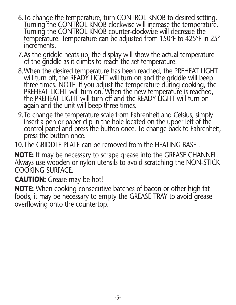- 6.To change the temperature, turn CONTROL KNOB to desired setting. Turning the CONTROL KNOB clockwise will increase the temperature. Turning the CONTROL KNOB counter-clockwise will decrease the temperature. Temperature can be adjusted from 150°F to 425°F in 25° increments.
- 7.As the griddle heats up, the display will show the actual temperature of the griddle as it climbs to reach the set temperature.
- 8.When the desired temperature has been reached, the PREHEAT LIGHT will turn off, the READY LIGHT will turn on and the griddle will beep three times. NOTE: If you adjust the temperature during cooking, the PREHEAT LIGHT will turn on. When the new temperature is reached. the PREHEAT LIGHT will turn off and the READY LIGHT will turn on again and the unit will beep three times.
- 9.To change the temperature scale from Fahrenheit and Celsius, simply insert a pen or paper clip in the hole located on the upper left of the control panel and press the button once. To change back to Fahrenheit, press the button once.

10.The GRIDDLE PLATE can be removed from the HEATING BASE .

**NOTE:** It may be necessary to scrape grease into the GREASE CHANNEL. Always use wooden or nylon utensils to avoid scratching the NON-STICK COOKING SURFACE.

**CAUTION:** Grease may be hot!

**NOTE:** When cooking consecutive batches of bacon or other high fat foods, it may be necessary to empty the GREASE TRAY to avoid grease overflowing onto the countertop.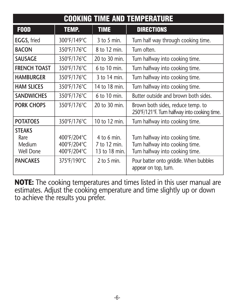| <b>COOKING TIME AND TEMPERATURE</b>                             |                                                          |                                                                 |                                                                                                                                                 |
|-----------------------------------------------------------------|----------------------------------------------------------|-----------------------------------------------------------------|-------------------------------------------------------------------------------------------------------------------------------------------------|
| <b>F00D</b>                                                     | <b>TEMP.</b>                                             | <b>TIME</b>                                                     | <b>DIRECTIONS</b>                                                                                                                               |
| <b>EGGS, fried</b>                                              | 300°F/149°C                                              | $3$ to $5$ min.                                                 | Turn half way through cooking time.                                                                                                             |
| <b>BACON</b>                                                    | 350°F/176°C                                              | 8 to 12 min.                                                    | Turn often.                                                                                                                                     |
| SAUSAGE                                                         | 350°F/176°C                                              | 20 to 30 min.                                                   | Turn halfway into cooking time.                                                                                                                 |
| <b>FRENCH TOAST</b>                                             | 350°F/176°C                                              | 6 to 10 min.                                                    | Turn halfway into cooking time.                                                                                                                 |
| <b>HAMBURGFR</b>                                                | 350°F/176°C                                              | $3$ to 14 min.                                                  | Turn halfway into cooking time.                                                                                                                 |
| <b>HAM SLICES</b>                                               | 350°F/176°C                                              | 14 to 18 min.                                                   | Turn halfway into cooking time.                                                                                                                 |
| <b>SANDWICHES</b>                                               | 350°F/176°C                                              | 6 to 10 min.                                                    | Butter outside and brown both sides.                                                                                                            |
| <b>PORK CHOPS</b>                                               | 350°F/176°C                                              | 20 to 30 min.                                                   | Brown both sides, reduce temp. to<br>250°F/121°F. Turn halfway into cooking time.                                                               |
| <b>POTATOES</b>                                                 | 350°F/176°C                                              | 10 to 12 min.                                                   | Turn halfway into cooking time.                                                                                                                 |
| <b>STEAKS</b><br>Rare<br>Medium<br>Well Done<br><b>PANCAKES</b> | 400°F/204°C<br>400°F/204°C<br>400°F/204°C<br>375°F/190°C | $4$ to 6 min.<br>7 to 12 min.<br>13 to 18 min.<br>$2$ to 5 min. | Turn halfway into cooking time.<br>Turn halfway into cooking time.<br>Turn halfway into cooking time.<br>Pour batter onto griddle. When bubbles |
|                                                                 |                                                          |                                                                 | appear on top, turn.                                                                                                                            |

**NOTE:** The cooking temperatures and times listed in this user manual are estimates. Adjust the cooking emperature and time slightly up or down to achieve the results you prefer.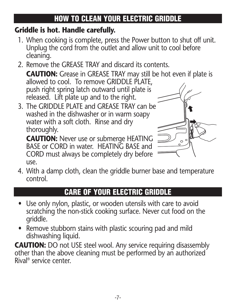#### **HOW TO CLEAN YOUR ELECTRIC GRIDDLE**

#### **Griddle is hot. Handle carefully.**

- 1. When cooking is complete, press the Power button to shut off unit. Unplug the cord from the outlet and allow unit to cool before cleaning.
- 2. Remove the GREASE TRAY and discard its contents.

**CAUTION:** Grease in GREASE TRAY may still be hot even if plate is allowed to cool. To remove GRIDDLE PLATE, push right spring latch outward until plate is released. Lift plate up and to the right.

3. The GRIDDLE PLATE and GREASE TRAY can be washed in the dishwasher or in warm soapy water with a soft cloth. Rinse and dry thoroughly.

**CAUTION:** Never use or submerge HEATING BASE or CORD in water. HEATING BASE and CORD must always be completely dry before use.



4. With a damp cloth, clean the griddle burner base and temperature control.

#### **CARE OF YOUR ELECTRIC GRIDDLE**

- Use only nylon, plastic, or wooden utensils with care to avoid scratching the non-stick cooking surface. Never cut food on the griddle.
- Remove stubborn stains with plastic scouring pad and mild dishwashing liquid.

**CAUTION:** DO not USE steel wool. Any service requiring disassembly other than the above cleaning must be performed by an authorized Rival ® service center.